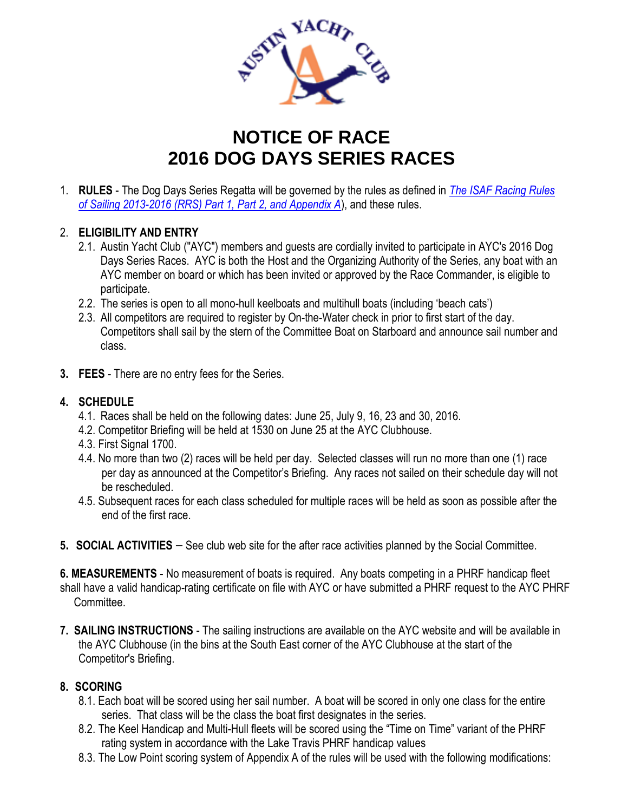

## **NOTICE OF RACE 2016 DOG DAYS SERIES RACES**

1. **RULES** - The Dog Days Series Regatta will be governed by the rules as defined in *The ISAF Racing Rules of Sailing 2013-2016 (RRS) Part 1, Part 2, and Appendix A*), and these rules.

## 2. **ELIGIBILITY AND ENTRY**

- 2.1. Austin Yacht Club ("AYC") members and guests are cordially invited to participate in AYC's 2016 Dog Days Series Races. AYC is both the Host and the Organizing Authority of the Series, any boat with an AYC member on board or which has been invited or approved by the Race Commander, is eligible to participate.
- 2.2. The series is open to all mono-hull keelboats and multihull boats (including 'beach cats')
- 2.3. All competitors are required to register by On-the-Water check in prior to first start of the day. Competitors shall sail by the stern of the Committee Boat on Starboard and announce sail number and class.
- **3. FEES** There are no entry fees for the Series.

## **4. SCHEDULE**

- 4.1. Races shall be held on the following dates: June 25, July 9, 16, 23 and 30, 2016.
- 4.2. Competitor Briefing will be held at 1530 on June 25 at the AYC Clubhouse.
- 4.3. First Signal 1700.
- 4.4. No more than two (2) races will be held per day. Selected classes will run no more than one (1) race per day as announced at the Competitor's Briefing. Any races not sailed on their schedule day will not be rescheduled.
- 4.5. Subsequent races for each class scheduled for multiple races will be held as soon as possible after the end of the first race.
- **5. SOCIAL ACTIVITIES** See club web site for the after race activities planned by the Social Committee.

**6. MEASUREMENTS** - No measurement of boats is required. Any boats competing in a PHRF handicap fleet shall have a valid handicap-rating certificate on file with AYC or have submitted a PHRF request to the AYC PHRF Committee.

**7. SAILING INSTRUCTIONS** - The sailing instructions are available on the AYC website and will be available in the AYC Clubhouse (in the bins at the South East corner of the AYC Clubhouse at the start of the Competitor's Briefing.

## **8. SCORING**

- 8.1. Each boat will be scored using her sail number. A boat will be scored in only one class for the entire series. That class will be the class the boat first designates in the series.
- 8.2. The Keel Handicap and Multi-Hull fleets will be scored using the "Time on Time" variant of the PHRF rating system in accordance with the Lake Travis PHRF handicap values
- 8.3. The Low Point scoring system of Appendix A of the rules will be used with the following modifications: